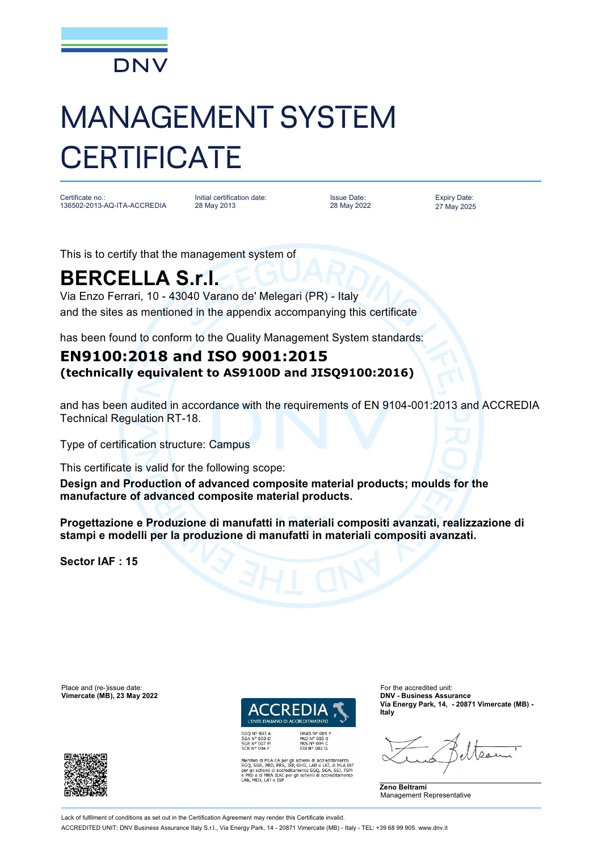

## MANAGEMENT SYSTEM **CERTIFICATE**

Certificate no.: 136502-2013-AQ-ITA-ACCREDIA

Initial certification date: 28 May 2013

Issue Date: 28 May 2022 Expiry Date: 27 May 2025

This is to certify that the management system of

## **BERCELLA S.r.l.**

Via Enzo Ferrari, 10 - 43040 Varano de' Melegari (PR) - Italy and the sites as mentioned in the appendix accompanying this certificate

has been found to conform to the Quality Management System standards:

## **EN9100:2018 and ISO 9001:2015 (technically equivalent to AS9100D and JISQ9100:2016)**

and has been audited in accordance with the requirements of EN 9104-001:2013 and ACCREDIA Technical Regulation RT-18.

Type of certification structure: Campus

This certificate is valid for the following scope:

**Design and Production of advanced composite material products; moulds for the manufacture of advanced composite material products.** 

**Progettazione e Produzione di manufatti in materiali compositi avanzati, realizzazione di stampi e modelli per la produzione di manufatti in materiali compositi avanzati.** 

**Sector IAF : 15**

Place and (re-)issue date: For the accredited unit:  $V$ imercate (MB), 23 May 2022



SGQ N° 003 A<br>SGA N° 003 D<br>SGE N° 007 M<br>SCR N° 004 F

bro di MLA EA per gli schemi di accreditamento<br>SGA, PRD, PRS, ISP, GHG, LAB e LAT, di MLA IAF<br>Il schemi di accreditamento SGQ, SGA, SSI, FSM<br>D e di MRA ILAC per gli schemi di accreditamento<br>MED, LAT e ISP

PRD Nº 003 B<br>PRS Nº 094 C<br>SSI Nº 002 G

**Via Energy Park, 14, - 20871 Vimercate (MB) - Italy**

**Zeno Beltrami** Management Representative



Lack of fulfilment of conditions as set out in the Certification Agreement may render this Certificate invalid ACCREDITED UNIT: DNV Business Assurance Italy S.r.l., Via Energy Park, 14 - 20871 Vimercate (MB) - Italy - TEL: +39 68 99 905. [www.dnv.it](http://www.dnv.it)